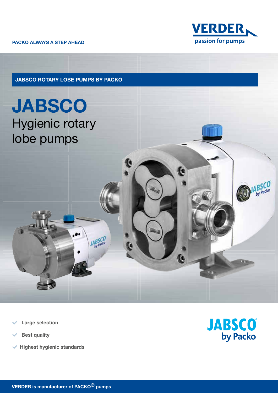PACKO ALWAYS A STEP AHEAD



JABSCO ROTARY LOBE PUMPS BY PACKO

G

JABSCO<br>by Packo

**JABSCO** Hygienic rotary lobe pumps

- Large selection
- Best quality
- $\blacktriangleright$  Highest hygienic standards



G

by Packe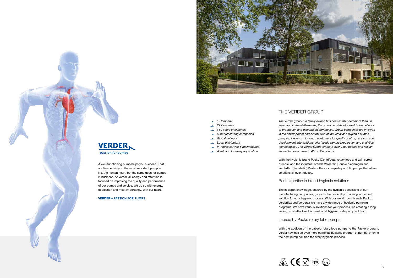## THE VERDER GROUP



*The Verder group is a family owned business established more than 60 years ago in the Netherlands; the group consists of a worldwide network of production and distribution companies. Group companies are involved in the development and distribution of industrial and hygienic pumps, pumping systems, high-tech equipment for quality control, research and development into solid material (solids sample preparation and analytical technologies). The Verder Group employs over 1800 people and has an annual turnover close to 400 million Euros.* 

With the hygienic brand Packo (Centrifugal, rotary lobe and twin screw pumps), and the industrial brands Verderair (Double diaphragm) and Verderflex (Peristaltic) Verder offers a complete portfolio pumps that offers solutions all over industry.

## Best expertise in broad hygienic solutions

The in-depth knowledge, ensured by the hygienic specialists of our manufacturing companies, gives us the possibility to offer you the best solution for your hygienic process. With our well-known brands Packo, Verderflex and Verderair we have a wide range of hygienic pumping programs. We have various solutions for your process line creating a long lasting, cost effective, but most of all hygienic safe pump solution.

## Jabsco by Packo rotary lobe pumps

With the addition of the Jabsco rotary lobe pumps to the Packo program, Verder now has an even more complete hygienic program of pumps, offering the best pump solution for every hygienic process.





- *1 Company 27 Countries*
- *>60 Years of expertise*
- *5 Manufacturing companies*  $\mathbf{r}$
- *Global network*  $\overline{\phantom{a}}$
- *Local distributors*
- *In-house service & maintenance*
- 
- *A solution for every application*

A well-functioning pump helps you succeed. That applies certainly to the most important pump in life, the human heart, but the same goes for pumps in business. At Verder, all energy and attention is focused on improving the quality and performance of our pumps and service. We do so with energy, dedication and most importantly, with our heart.

### VERDER – PASSION FOR PUMPS

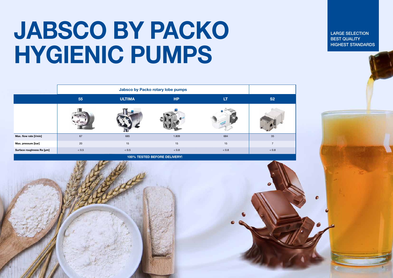## JABSCO BY PACKO HYGIENIC PUMPS

|                           | 55      | <b>ULTIMA</b> | HP    | <b>LT</b> | <b>S2</b>      |
|---------------------------|---------|---------------|-------|-----------|----------------|
|                           |         |               |       |           |                |
| Max. flow rate [I/min]    | 67      | 685           | 1.809 | 684       | 35             |
| Max. pressure [bar]       | 20      | 15            | 15    | 15        | $\overline{7}$ |
| Surface roughness Ra [µm] | $< 0.5$ | $< 0.5$       | < 0.8 | < 0.8     | $< 0.8$        |





LARGE SELECTION BEST QUALITY HIGHEST STANDARDS

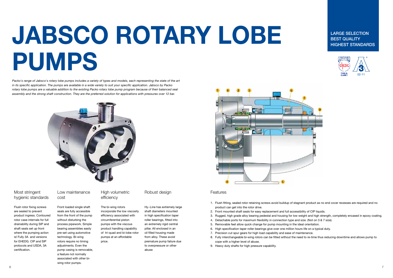# JABSCO ROTARY LOBE PUMPS

Packo's range of Jabsco's rotary lobe pumps includes a variety of types and models, each representing the state of the art *in its specific application. The pumps are available in a wide variety to suit your specific application. Jabsco by Packo rotary lobe pumps are a valuable addition to the existing Packo rotary lobe pump program because of their balanced seal assembly and the strong shaft construction. They are the preferred solution for applications with pressures over 12 bar.* 



## Most stringent hygienic standards

Flush rotor fixing screws are sealed to prevent product ingress. Contoured rotor case internals for full drainability during SIP and shaft seals set up front where the pumping action is! Fully 3A and versions for EHEDG. CIP and SIP protocols and USDA, 3A certification.

## Low maintenance cost

Front loaded single shaft seals are fully accessible from the front of the pump without disturbing the process pipework. Simple bearing assemblies easily pre-set using automotive technology. Bi-wing rotors require no timing adiustments. Even the pump casing is removable, a feature not normally associated with other biwing rotor pumps.

## High volumetric efficiency

The bi-wing rotors incorporate the low viscosity efficiency associated with circumferential piston pumps with the viscous product handling capability of tri-quad and bi-lobe rotor pumps at an affordable price.





Hy~Line has extremely large shaft diameters mounted in high specification taper roller bearings, fitted into an extremely rigid central pillar. All enclosed in an oil filled housing made from alloy. These avoid premature pump failure due to overpressure or other abuse





Features

- 1. Flush fitting, sealed rotor retaining screws avoid buildup of stagnant product as no end cover recesses are required and no product can get into the rotor drive.
- 2. Front mounted shaft seals for easy replacement and full accessibility of CIP liquids.
- 3. Rugged, high grade alloy bearing pedestal and housing for low weight and high strength, completely encased in epoxy coating.
- 4. Detachable ports for maximum flexibility in connection type and size. (Not on 3 & 7 size).
- 5. Removable feet allow quick change for pump mounting in the ideal orientation.
- 6. High specification taper roller bearings give over one million hours life on a typical duty.
- 7. Precision cut spur gears for high load capability and ease of maintenance.
- 8. Fully interchangeable bi-wing rotors can be fitted without the need to re-time thus reducing downtime and allows pump to cope with a higher level of abuse.
- 9. Heavy duty shafts for high pressure capability.

## LARGE SELECTION BEST QUALITY HIGHEST STANDARDS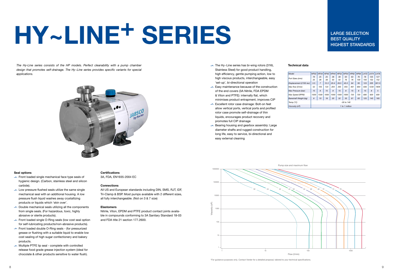- $\rightarrow$  The Hy~Line series has bi-wing rotors (316L Stainless Steel) for good product handling, high efficiency, gentle pumping action, low to high viscous products, interchangeable, easy 'set-up', bi-directional operation
- $\blacktriangleright$  Easy maintenance because of the construction of the end covers (3A Nitrile, FDA EPDM & Viton and PTFE): internally flat, which minimises product entrapment, improves CIP
- ► Excellent rotor case drainage: Bolt-on feet allow vertical ports, vertical ports and profiled rotor case promote self-drainage of thin liquids, encourages product recovery and promotes full CIP drainage
- $\blacktriangleright$  Bearing housing and gearbox assembly: Large diameter shafts and rugged construction for long life, easy to service, bi-directional and easy external cleaning



\*For guidance purposes only. Contact Verder for a detailed proposal, tailored to your technical specifications

## Technical data

*Temp (°C)*  $$ 

- $\rightarrow$  Front loaded single mechanical face type seals of hygienic design. (Carbon, stainless steel and silicon carbide).
- $\overline{\phantom{a}}$  Low pressure flushed seals utilize the same single mechanical seal with an additional housing. A low pressure flush liquid washes away crystallizing products or liquids which 'skin over'.
- $\sim$  Double mechanical seals utilizing all the components from single seals. (For hazardous, toxic, highly abrasive or sterile products).
- $\rightarrow$  Front loaded single O-Ring seals (low cost seal option for self-lubricating products/non-abrasive products).
- **In Front loaded double O-Ring seals (for pressurized** grease or flushing with a suitable liquid to enable low cost sealing of high sugar confectionery and bakery products.
- $\rightarrow$  Multiple PTFE lip seal complete with controlled release food grade grease injection system (ideal for chocolate & other products sensitive to water flush).

## **Certifications**

| Model                    | HP32           | HP34           | HP42 | HP44 | <b>HP52</b> | HPS4 | <b>HP62</b> | HP64 | LH72 | LH74 | LH76  |
|--------------------------|----------------|----------------|------|------|-------------|------|-------------|------|------|------|-------|
|                          | 19             | 25             | 25   | 38   | 38          | 50   | 63          | 76   | 76   | 125  | 127   |
| Port Sizes (mm)          | 25             | 38             | 38   | 50   | 50          | 76   | 76          | 100  | 100  | 152  | 152   |
| Displacement (I/100 rev) | 3.5            | $\overline{7}$ | 12.3 | 20.4 | 26.5        | 45.5 | 64          | 95   | 123  | 205  | 301.5 |
| Max flow (I/min)         | 52             | 105            | 123  | 204  | 265         | 455  | 461         | 684  | 836  | 1230 | 1809  |
| Max Pressure (bar)       | 15             | 8              | 15   | 8    | 15          | 8    | 15          | 8    | 15   | 8    | 5     |
| Max Speed (RPM)          | 1500           | 1500           | 1000 | 1000 | 1000        | 1000 | 720         | 720  | 680  | 600  | 600   |
| Bareshaft Weight (kg)    | 8              | 10             | 18   | 20   | 32          | 35   | 61          | 65   | 125  | 145  | 165   |
| Temp $(^{\circ}C)$       | $-30$ to $140$ |                |      |      |             |      |             |      |      |      |       |
| Viscosity (cP)           | 1 to 1 million |                |      |      |             |      |             |      |      |      |       |

Pump size and maximum flow

## LARGE SELECTION BEST QUALITY HIGHEST STANDARDS

## Seal options

3A, FDA, EN1935-2004 EC

## **Connections**

All US and European standards including DIN, SMS, RJT, IDF, Tri-Clamp & BSP. Most pumps available with 2 different sizes, all fully interchangeable. (Not on 3 & 7 size)

## Elastomers

Nitrile, Viton, EPDM and PTFE product contact joints available in compounds conforming to 3A Sanitary Standard 18-03 and FDA title 21 section 177.2600.

# ERIES EN BEST QUALITY NORMALITY NORMALITY NORMALITY THIGHERS TANDARDS

*The Hy-Line series consists of the HP models. Perfect cleanability with a pump chamber design that promotes self-drainage. The Hy~Line series provides specific variants for special applications.*

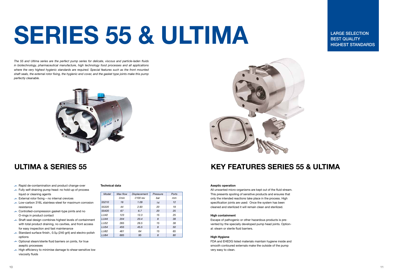## Aseptic operation

All unwanted micro-organisms are kept out of the fluid stream. This presents spoiling of sensitive products and ensures that only the intended reactions take place in the process. High specification joints are used: Once the system has been cleaned and sterilized it will remain clean and sterilized.

## High containment

Escape of pathogenic or other hazardous products is prevented by the specially developed pump head joints. Optional: steam or sterile fluid barriers.

### High Hygiene

FDA and EHEDG listed materials maintain hygiene inside and smooth contoured externals make the outside of the pump very easy to clean.

## ULTIMA & SERIES 55 KEY FEATURES SERIES 55 & ULTIMA

# SERIES 55 & ULTIMA

*The 55 and Ultima series are the perfect pump series for delicate, viscous and particle-laden fluids in biotechnology, pharmaceutical manufacture, high technology food processes and all applications where the very highest hygienic standards are required. Special features such as the front mounted shaft seals, the external rotor fixing, the hygienic end cover, and the gasket type joints make this pump perfectly cleanable.*



- $\blacktriangleright$  Rapid de-contamination and product change-over
- $\rightarrow$  Fully self-draining pump head: no hold-up of process liquid or cleaning agents
- $\overline{\phantom{a}}$  External rotor fixing no internal crevices
- $\sim$  Low-carbon 316L stainless-steel for maximum corrosion resistance
- $\sim$  Controlled-compression gasket-type joints and no O-rings in product contact
- $\blacktriangleright$  Shaft seal design combines highest levels of containment with total product draining, no cavities, and front access for easy inspection and fast maintenance
- $\rightarrow$  Standard surface finish:, 0.5 $\mu$  (240 grit) and electro-polish options
- $\sim$  Optional steam/sterile fluid barriers on joints, for true aseptic processes
- $\overline{\phantom{a}}$  High efficiency to minimise damage to shear-sensitive low viscosity fluids

### Technical data

| Model            | Max flow | <b>Displacement</b> | Pressure | Ports |
|------------------|----------|---------------------|----------|-------|
|                  | I/min    | $I/100$ rev         | bar      | mт    |
| 55210            | 16       | 1.09                | 14       | 12    |
| 55320            | 44       | 2.93                | 20       | 19    |
| 55420            | 67       | 6.7                 | 20       | 25    |
| LU42             | 123      | 12.3                | 15       | 25    |
| <b>LU44</b>      | 204      | 20.4                | 8        | 38    |
| <b>LU52</b>      | 265      | 26.5                | 15       | 38    |
| LU <sub>54</sub> | 455      | 45.5                | 8        | 50    |
| LU <sub>62</sub> | 461      | 64                  | 15       | 65    |
| <b>LU64</b>      | 685      | 95                  | 8        | 80    |



LARGE SELECTION BEST QUALITY HIGHEST STANDARDS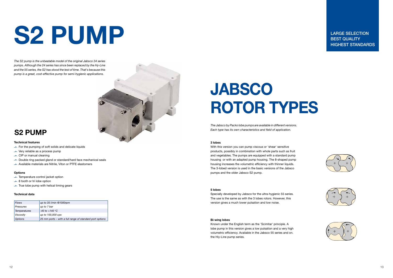## JABSCO ROTOR TYPES

## Technical features

- $\rightarrow$  For the pumping of soft solids and delicate liquids
- $\overline{\phantom{a}}$  Very reliable as a process pump
- $\overline{\phantom{a}}$  CIP or manual cleaning
- $\rightarrow$  Double ring packed gland or standard/hard face mechanical seals
- $\blacktriangleright$  Available materials are Nitrile, Viton or PTFE elastomers

## **Options**

- $\overline{\phantom{a}}$  Temperature control jacket option
- $\rightarrow$  8 tooth or tri lobe option
- $\overline{\phantom{a}}$  True lobe pump with helical timing gears

### Technical data

| <b>Flows</b>     | up to $35$ l/min @1000rpm                                |
|------------------|----------------------------------------------------------|
| Pressures        | up to 7 bar                                              |
| Temperatures     | $-40$ to $+140$ °C                                       |
| <b>Viscosity</b> | up to 100,000 cps                                        |
| <b>Options</b>   | 25 mm ports – with a full range of standard port options |

## S2 PUMP

## S2 PUMP

*The S2 pump is the unbeatable model of the original Jabsco 24 series pumps. Although the 24 series has since been replaced by the Hy-Line and the 55 series, the S2 has stood the test of time. That's because this pump is a great, cost-effective pump for semi-hygienic applications.*

LARGE SELECTION BEST QUALITY HIGHEST STANDARDS









*The Jabsco by Packo lobe pumps are available in different versions. Each type has its own characteristics and field of application.*

## 3 lobes

With this version you can pump viscous or 'shear' sensitive products, possibly in combination with whole parts such as fruit and vegetables. The pumps are equipped with a standard pump housing or with an adapted pump housing. The 8-shaped pump housing increases the volumetric efficiency with thinner liquids. The 3-lobed version is used in the basic versions of the Jabsco pumps and the older Jabsco S2 pump.

### 5 lobes

Specially developed by Jabsco for the ultra-hygienic 55 series. The use is the same as with the 3 lobes rotors. However, this version gives a much lower pulsation and low noise.

## Bi-wing lobes

Known under the English term as the 'Scimitar' principle. A lobe pump in this version gives a low pulsation and a very high volumetric efficiency. Available in the Jabsco 55 series and on. the Hiy-Line pump series.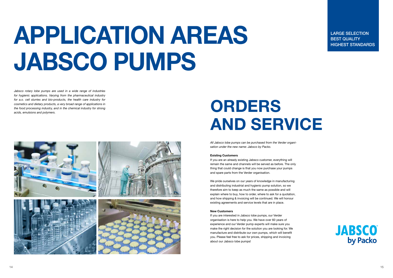# APPLICATION AREAS JABSCO PUMPS

*All Jabsco lobe pumps can be purchased from the Verder organisation under the new name: Jabsco by Packo.*

## Existing Customers

If you are an already existing Jabsco customer, everything will remain the same and channels will be served as before. The only thing that could change is that you now purchase your pumps and spare parts from the Verder organisation.

We pride ourselves on our years of knowledge in manufacturing and distributing industrial and hygienic pump solution, so we therefore aim to keep as much the same as possible and will explain where to buy, how to order, where to ask for a quotation, and how shipping & invoicing will be continued. We will honour existing agreements and service levels that are in place.

## New Customers

If you are interested in Jabsco lobe pumps, our Verder organisation is here to help you. We have over 60 years of experience and our Verder pump experts will make sure you make the right decision for the solution you are looking for. We manufacture and distribute our own pumps, which will benefit you. Please feel free to ask for prices, shipping and invoicing about our Jabsco lobe pumps!

LARGE SELECTION BEST QUALITY **EXECUTE HIGHEST STANDARDS** 





## ORDERS AND SERVICE

*Jabsco rotary lobe pumps are used in a wide range of industries for hygienic applications. Varying from the pharmaceutical industry for a.o. cell slurries and bio-products, the health care industry for cosmetics and dietary products, a very broad range of applications in the food processing industry, and in the chemical industry for strong acids, emulsions and polymers.*